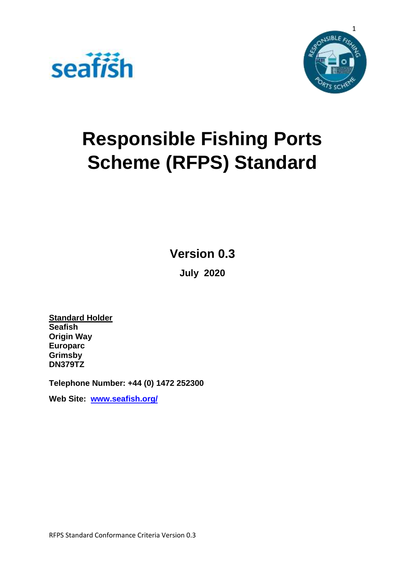



# **Responsible Fishing Ports Scheme (RFPS) Standard**

**Version 0.3**

**July 2020**

**Standard Holder Seafish Origin Way Europarc Grimsby DN379TZ**

**Telephone Number: +44 (0) 1472 252300**

**Web Site: [www.seafish.org/](http://www.seafish.org/)**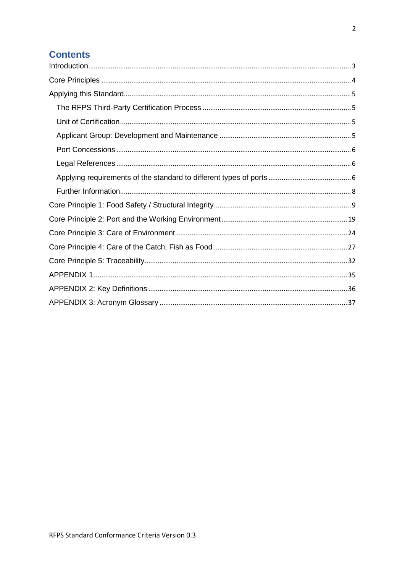### **Contents**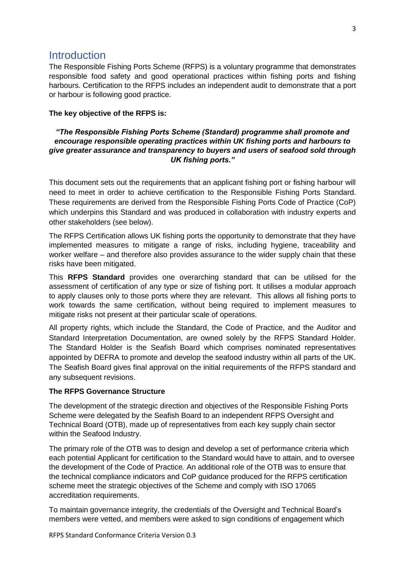### <span id="page-2-0"></span>**Introduction**

The Responsible Fishing Ports Scheme (RFPS) is a voluntary programme that demonstrates responsible food safety and good operational practices within fishing ports and fishing harbours. Certification to the RFPS includes an independent audit to demonstrate that a port or harbour is following good practice.

#### **The key objective of the RFPS is:**

#### *"The Responsible Fishing Ports Scheme (Standard) programme shall promote and encourage responsible operating practices within UK fishing ports and harbours to give greater assurance and transparency to buyers and users of seafood sold through UK fishing ports."*

This document sets out the requirements that an applicant fishing port or fishing harbour will need to meet in order to achieve certification to the Responsible Fishing Ports Standard. These requirements are derived from the Responsible Fishing Ports Code of Practice (CoP) which underpins this Standard and was produced in collaboration with industry experts and other stakeholders (see below).

The RFPS Certification allows UK fishing ports the opportunity to demonstrate that they have implemented measures to mitigate a range of risks, including hygiene, traceability and worker welfare – and therefore also provides assurance to the wider supply chain that these risks have been mitigated.

This **RFPS Standard** provides one overarching standard that can be utilised for the assessment of certification of any type or size of fishing port. It utilises a modular approach to apply clauses only to those ports where they are relevant. This allows all fishing ports to work towards the same certification, without being required to implement measures to mitigate risks not present at their particular scale of operations.

All property rights, which include the Standard, the Code of Practice, and the Auditor and Standard Interpretation Documentation, are owned solely by the RFPS Standard Holder. The Standard Holder is the Seafish Board which comprises nominated representatives appointed by DEFRA to promote and develop the seafood industry within all parts of the UK. The Seafish Board gives final approval on the initial requirements of the RFPS standard and any subsequent revisions.

#### **The RFPS Governance Structure**

The development of the strategic direction and objectives of the Responsible Fishing Ports Scheme were delegated by the Seafish Board to an independent RFPS Oversight and Technical Board (OTB), made up of representatives from each key supply chain sector within the Seafood Industry.

The primary role of the OTB was to design and develop a set of performance criteria which each potential Applicant for certification to the Standard would have to attain, and to oversee the development of the Code of Practice. An additional role of the OTB was to ensure that the technical compliance indicators and CoP guidance produced for the RFPS certification scheme meet the strategic objectives of the Scheme and comply with ISO 17065 accreditation requirements.

To maintain governance integrity, the credentials of the Oversight and Technical Board's members were vetted, and members were asked to sign conditions of engagement which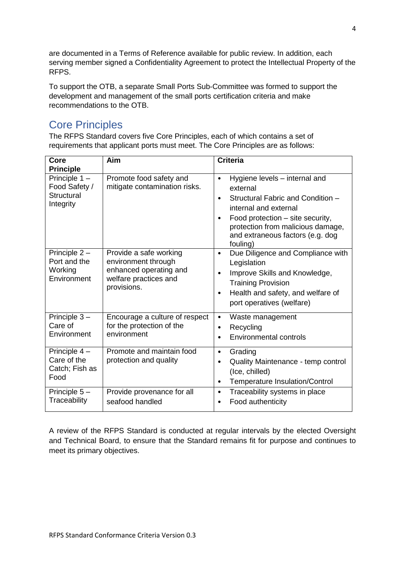are documented in a Terms of Reference available for public review. In addition, each serving member signed a Confidentiality Agreement to protect the Intellectual Property of the RFPS.

To support the OTB, a separate Small Ports Sub-Committee was formed to support the development and management of the small ports certification criteria and make recommendations to the OTB.

## <span id="page-3-0"></span>Core Principles

The RFPS Standard covers five Core Principles, each of which contains a set of requirements that applicant ports must meet. The Core Principles are as follows:

| Core                                                        | Aim                                                                                                             | <b>Criteria</b>                                                                                                                                                                                                                                                         |
|-------------------------------------------------------------|-----------------------------------------------------------------------------------------------------------------|-------------------------------------------------------------------------------------------------------------------------------------------------------------------------------------------------------------------------------------------------------------------------|
| <b>Principle</b>                                            |                                                                                                                 |                                                                                                                                                                                                                                                                         |
| Principle $1 -$<br>Food Safety /<br>Structural<br>Integrity | Promote food safety and<br>mitigate contamination risks.                                                        | Hygiene levels - internal and<br>$\bullet$<br>external<br>Structural Fabric and Condition -<br>$\bullet$<br>internal and external<br>Food protection – site security,<br>$\bullet$<br>protection from malicious damage,<br>and extraneous factors (e.g. dog<br>fouling) |
| Principle $2 -$<br>Port and the<br>Working<br>Environment   | Provide a safe working<br>environment through<br>enhanced operating and<br>welfare practices and<br>provisions. | Due Diligence and Compliance with<br>$\bullet$<br>Legislation<br>Improve Skills and Knowledge,<br>$\bullet$<br><b>Training Provision</b><br>Health and safety, and welfare of<br>٠<br>port operatives (welfare)                                                         |
| Principle 3-<br>Care of<br>Environment                      | Encourage a culture of respect<br>for the protection of the<br>environment                                      | Waste management<br>$\bullet$<br>Recycling<br>٠<br><b>Environmental controls</b><br>$\bullet$                                                                                                                                                                           |
| Principle 4 -<br>Care of the<br>Catch; Fish as<br>Food      | Promote and maintain food<br>protection and quality                                                             | Grading<br>$\bullet$<br>Quality Maintenance - temp control<br>٠<br>(Ice, chilled)<br>Temperature Insulation/Control<br>$\bullet$                                                                                                                                        |
| Principle 5-<br>Traceability                                | Provide provenance for all<br>seafood handled                                                                   | Traceability systems in place<br>$\bullet$<br>Food authenticity<br>٠                                                                                                                                                                                                    |

A review of the RFPS Standard is conducted at regular intervals by the elected Oversight and Technical Board, to ensure that the Standard remains fit for purpose and continues to meet its primary objectives.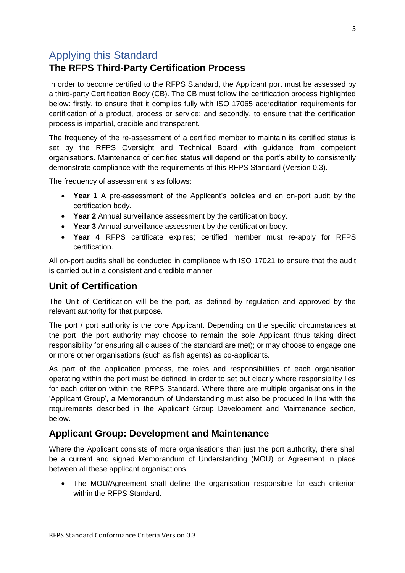### <span id="page-4-0"></span>Applying this Standard

### <span id="page-4-1"></span>**The RFPS Third-Party Certification Process**

In order to become certified to the RFPS Standard, the Applicant port must be assessed by a third-party Certification Body (CB). The CB must follow the certification process highlighted below: firstly, to ensure that it complies fully with ISO 17065 accreditation requirements for certification of a product, process or service; and secondly, to ensure that the certification process is impartial, credible and transparent.

The frequency of the re-assessment of a certified member to maintain its certified status is set by the RFPS Oversight and Technical Board with guidance from competent organisations. Maintenance of certified status will depend on the port's ability to consistently demonstrate compliance with the requirements of this RFPS Standard (Version 0.3).

The frequency of assessment is as follows:

- **Year 1** A pre-assessment of the Applicant's policies and an on-port audit by the certification body.
- **Year 2** Annual surveillance assessment by the certification body.
- **Year 3** Annual surveillance assessment by the certification body.
- **Year 4** RFPS certificate expires; certified member must re-apply for RFPS certification.

All on-port audits shall be conducted in compliance with ISO 17021 to ensure that the audit is carried out in a consistent and credible manner.

### <span id="page-4-2"></span>**Unit of Certification**

The Unit of Certification will be the port, as defined by regulation and approved by the relevant authority for that purpose.

The port / port authority is the core Applicant. Depending on the specific circumstances at the port, the port authority may choose to remain the sole Applicant (thus taking direct responsibility for ensuring all clauses of the standard are met); or may choose to engage one or more other organisations (such as fish agents) as co-applicants.

As part of the application process, the roles and responsibilities of each organisation operating within the port must be defined, in order to set out clearly where responsibility lies for each criterion within the RFPS Standard. Where there are multiple organisations in the 'Applicant Group', a Memorandum of Understanding must also be produced in line with the requirements described in the Applicant Group Development and Maintenance section, below.

### <span id="page-4-3"></span>**Applicant Group: Development and Maintenance**

Where the Applicant consists of more organisations than just the port authority, there shall be a current and signed Memorandum of Understanding (MOU) or Agreement in place between all these applicant organisations.

 The MOU/Agreement shall define the organisation responsible for each criterion within the RFPS Standard.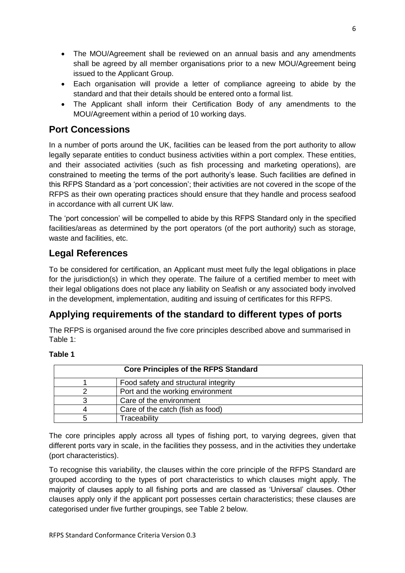- The MOU/Agreement shall be reviewed on an annual basis and any amendments shall be agreed by all member organisations prior to a new MOU/Agreement being issued to the Applicant Group.
- Each organisation will provide a letter of compliance agreeing to abide by the standard and that their details should be entered onto a formal list.
- The Applicant shall inform their Certification Body of any amendments to the MOU/Agreement within a period of 10 working days.

### <span id="page-5-0"></span>**Port Concessions**

In a number of ports around the UK, facilities can be leased from the port authority to allow legally separate entities to conduct business activities within a port complex. These entities, and their associated activities (such as fish processing and marketing operations), are constrained to meeting the terms of the port authority's lease. Such facilities are defined in this RFPS Standard as a 'port concession'; their activities are not covered in the scope of the RFPS as their own operating practices should ensure that they handle and process seafood in accordance with all current UK law.

The 'port concession' will be compelled to abide by this RFPS Standard only in the specified facilities/areas as determined by the port operators (of the port authority) such as storage, waste and facilities, etc.

### <span id="page-5-1"></span>**Legal References**

To be considered for certification, an Applicant must meet fully the legal obligations in place for the jurisdiction(s) in which they operate. The failure of a certified member to meet with their legal obligations does not place any liability on Seafish or any associated body involved in the development, implementation, auditing and issuing of certificates for this RFPS.

### <span id="page-5-2"></span>**Applying requirements of the standard to different types of ports**

The RFPS is organised around the five core principles described above and summarised in Table 1:

#### **Table 1**

| <b>Core Principles of the RFPS Standard</b> |                                      |  |
|---------------------------------------------|--------------------------------------|--|
|                                             | Food safety and structural integrity |  |
|                                             | Port and the working environment     |  |
|                                             | Care of the environment              |  |
|                                             | Care of the catch (fish as food)     |  |
|                                             | Traceability                         |  |

The core principles apply across all types of fishing port, to varying degrees, given that different ports vary in scale, in the facilities they possess, and in the activities they undertake (port characteristics).

To recognise this variability, the clauses within the core principle of the RFPS Standard are grouped according to the types of port characteristics to which clauses might apply. The majority of clauses apply to all fishing ports and are classed as 'Universal' clauses. Other clauses apply only if the applicant port possesses certain characteristics; these clauses are categorised under five further groupings, see Table 2 below.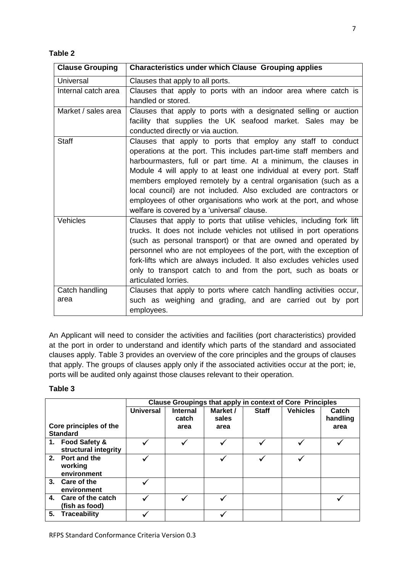#### **Table 2**

| <b>Clause Grouping</b> | <b>Characteristics under which Clause Grouping applies</b>                                                                                                                                                                                                                                                                                                                                                                                                                                                                            |
|------------------------|---------------------------------------------------------------------------------------------------------------------------------------------------------------------------------------------------------------------------------------------------------------------------------------------------------------------------------------------------------------------------------------------------------------------------------------------------------------------------------------------------------------------------------------|
| <b>Universal</b>       | Clauses that apply to all ports.                                                                                                                                                                                                                                                                                                                                                                                                                                                                                                      |
| Internal catch area    | Clauses that apply to ports with an indoor area where catch is<br>handled or stored.                                                                                                                                                                                                                                                                                                                                                                                                                                                  |
| Market / sales area    | Clauses that apply to ports with a designated selling or auction<br>facility that supplies the UK seafood market. Sales may be<br>conducted directly or via auction.                                                                                                                                                                                                                                                                                                                                                                  |
| <b>Staff</b>           | Clauses that apply to ports that employ any staff to conduct<br>operations at the port. This includes part-time staff members and<br>harbourmasters, full or part time. At a minimum, the clauses in<br>Module 4 will apply to at least one individual at every port. Staff<br>members employed remotely by a central organisation (such as a<br>local council) are not included. Also excluded are contractors or<br>employees of other organisations who work at the port, and whose<br>welfare is covered by a 'universal' clause. |
| Vehicles               | Clauses that apply to ports that utilise vehicles, including fork lift<br>trucks. It does not include vehicles not utilised in port operations<br>(such as personal transport) or that are owned and operated by<br>personnel who are not employees of the port, with the exception of<br>fork-lifts which are always included. It also excludes vehicles used<br>only to transport catch to and from the port, such as boats or<br>articulated lorries.                                                                              |
| Catch handling<br>area | Clauses that apply to ports where catch handling activities occur,<br>such as weighing and grading, and are carried out by port<br>employees.                                                                                                                                                                                                                                                                                                                                                                                         |

An Applicant will need to consider the activities and facilities (port characteristics) provided at the port in order to understand and identify which parts of the standard and associated clauses apply. Table 3 provides an overview of the core principles and the groups of clauses that apply. The groups of clauses apply only if the associated activities occur at the port; ie, ports will be audited only against those clauses relevant to their operation.

#### **Table 3**

|                | <b>Clause Groupings that apply in context of Core Principles</b>                                                                                         |                 |          |              |                 |          |
|----------------|----------------------------------------------------------------------------------------------------------------------------------------------------------|-----------------|----------|--------------|-----------------|----------|
|                | <b>Universal</b>                                                                                                                                         | <b>Internal</b> | Market / | <b>Staff</b> | <b>Vehicles</b> | Catch    |
|                |                                                                                                                                                          |                 |          |              |                 | handling |
|                |                                                                                                                                                          | area            | area     |              |                 | area     |
|                |                                                                                                                                                          |                 |          |              |                 |          |
|                |                                                                                                                                                          |                 |          |              |                 |          |
|                |                                                                                                                                                          |                 |          |              |                 |          |
|                |                                                                                                                                                          |                 |          |              |                 |          |
| working        |                                                                                                                                                          |                 |          |              |                 |          |
| environment    |                                                                                                                                                          |                 |          |              |                 |          |
|                |                                                                                                                                                          |                 |          |              |                 |          |
| environment    |                                                                                                                                                          |                 |          |              |                 |          |
|                |                                                                                                                                                          |                 |          |              |                 |          |
| (fish as food) |                                                                                                                                                          |                 |          |              |                 |          |
| Traceability   |                                                                                                                                                          |                 |          |              |                 |          |
|                | Core principles of the<br><b>Standard</b><br>1. Food Safety &<br>structural integrity<br>2. Port and the<br>3. Care of the<br>4. Care of the catch<br>5. |                 | catch    | sales        |                 |          |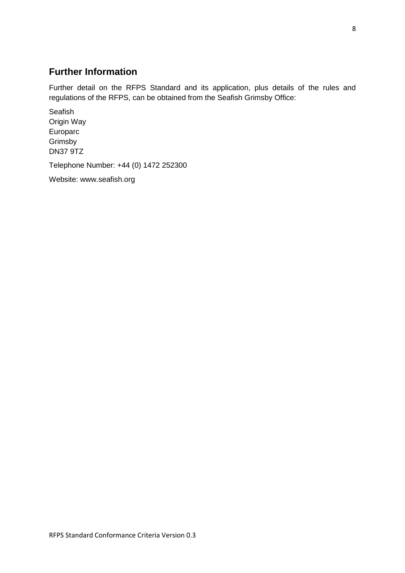### <span id="page-7-0"></span>**Further Information**

Further detail on the RFPS Standard and its application, plus details of the rules and regulations of the RFPS, can be obtained from the Seafish Grimsby Office:

Seafish Origin Way Europarc Grimsby DN37 9TZ

Telephone Number: +44 (0) 1472 252300

Website: www.seafish.org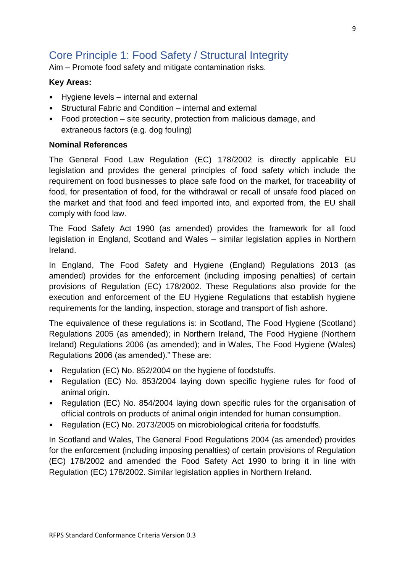# <span id="page-8-0"></span>Core Principle 1: Food Safety / Structural Integrity

Aim – Promote food safety and mitigate contamination risks.

#### **Key Areas:**

- Hygiene levels internal and external
- Structural Fabric and Condition internal and external
- Food protection site security, protection from malicious damage, and extraneous factors (e.g. dog fouling)

#### **Nominal References**

The General Food Law Regulation (EC) 178/2002 is directly applicable EU legislation and provides the general principles of food safety which include the requirement on food businesses to place safe food on the market, for traceability of food, for presentation of food, for the withdrawal or recall of unsafe food placed on the market and that food and feed imported into, and exported from, the EU shall comply with food law.

The Food Safety Act 1990 (as amended) provides the framework for all food legislation in England, Scotland and Wales – similar legislation applies in Northern Ireland.

In England, The Food Safety and Hygiene (England) Regulations 2013 (as amended) provides for the enforcement (including imposing penalties) of certain provisions of Regulation (EC) 178/2002. These Regulations also provide for the execution and enforcement of the EU Hygiene Regulations that establish hygiene requirements for the landing, inspection, storage and transport of fish ashore.

The equivalence of these regulations is: in Scotland, The Food Hygiene (Scotland) Regulations 2005 (as amended); in Northern Ireland, The Food Hygiene (Northern Ireland) Regulations 2006 (as amended); and in Wales, The Food Hygiene (Wales) Regulations 2006 (as amended)." These are:

- Regulation (EC) No. 852/2004 on the hygiene of foodstuffs.
- Regulation (EC) No. 853/2004 laying down specific hygiene rules for food of animal origin.
- Regulation (EC) No. 854/2004 laying down specific rules for the organisation of official controls on products of animal origin intended for human consumption.
- Regulation (EC) No. 2073/2005 on microbiological criteria for foodstuffs.

In Scotland and Wales, The General Food Regulations 2004 (as amended) provides for the enforcement (including imposing penalties) of certain provisions of Regulation (EC) 178/2002 and amended the Food Safety Act 1990 to bring it in line with Regulation (EC) 178/2002. Similar legislation applies in Northern Ireland.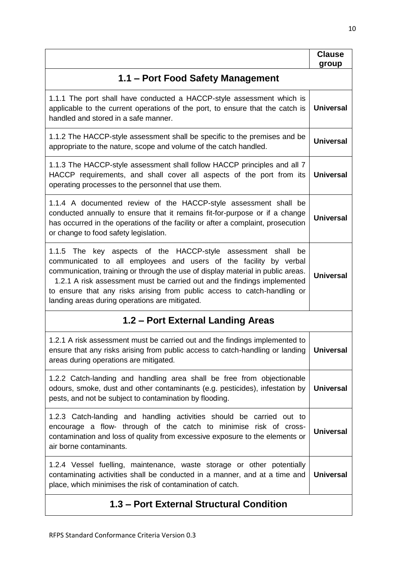|                                                                                                                                                                                                                                                                                                                                                                                                                                   | <b>Clause</b><br>group |  |  |
|-----------------------------------------------------------------------------------------------------------------------------------------------------------------------------------------------------------------------------------------------------------------------------------------------------------------------------------------------------------------------------------------------------------------------------------|------------------------|--|--|
| 1.1 – Port Food Safety Management                                                                                                                                                                                                                                                                                                                                                                                                 |                        |  |  |
| 1.1.1 The port shall have conducted a HACCP-style assessment which is<br>applicable to the current operations of the port, to ensure that the catch is<br>handled and stored in a safe manner.                                                                                                                                                                                                                                    | <b>Universal</b>       |  |  |
| 1.1.2 The HACCP-style assessment shall be specific to the premises and be<br>appropriate to the nature, scope and volume of the catch handled.                                                                                                                                                                                                                                                                                    | <b>Universal</b>       |  |  |
| 1.1.3 The HACCP-style assessment shall follow HACCP principles and all 7<br>HACCP requirements, and shall cover all aspects of the port from its<br>operating processes to the personnel that use them.                                                                                                                                                                                                                           | <b>Universal</b>       |  |  |
| 1.1.4 A documented review of the HACCP-style assessment shall be<br>conducted annually to ensure that it remains fit-for-purpose or if a change<br>has occurred in the operations of the facility or after a complaint, prosecution<br>or change to food safety legislation.                                                                                                                                                      | <b>Universal</b>       |  |  |
| 1.1.5 The key aspects of the HACCP-style assessment shall<br>be<br>communicated to all employees and users of the facility by verbal<br>communication, training or through the use of display material in public areas.<br>1.2.1 A risk assessment must be carried out and the findings implemented<br>to ensure that any risks arising from public access to catch-handling or<br>landing areas during operations are mitigated. | <b>Universal</b>       |  |  |
| 1.2 – Port External Landing Areas                                                                                                                                                                                                                                                                                                                                                                                                 |                        |  |  |
| 1.2.1 A risk assessment must be carried out and the findings implemented to<br>ensure that any risks arising from public access to catch-handling or landing  <br>areas during operations are mitigated.                                                                                                                                                                                                                          | <b>Universal</b>       |  |  |
| 1.2.2 Catch-landing and handling area shall be free from objectionable<br>odours, smoke, dust and other contaminants (e.g. pesticides), infestation by<br>pests, and not be subject to contamination by flooding.                                                                                                                                                                                                                 | <b>Universal</b>       |  |  |
| 1.2.3 Catch-landing and handling activities should be carried out to<br>encourage a flow- through of the catch to minimise risk of cross-<br>contamination and loss of quality from excessive exposure to the elements or<br>air borne contaminants.                                                                                                                                                                              | <b>Universal</b>       |  |  |
| 1.2.4 Vessel fuelling, maintenance, waste storage or other potentially<br>contaminating activities shall be conducted in a manner, and at a time and<br>place, which minimises the risk of contamination of catch.                                                                                                                                                                                                                | <b>Universal</b>       |  |  |
| 1.3 – Port External Structural Condition                                                                                                                                                                                                                                                                                                                                                                                          |                        |  |  |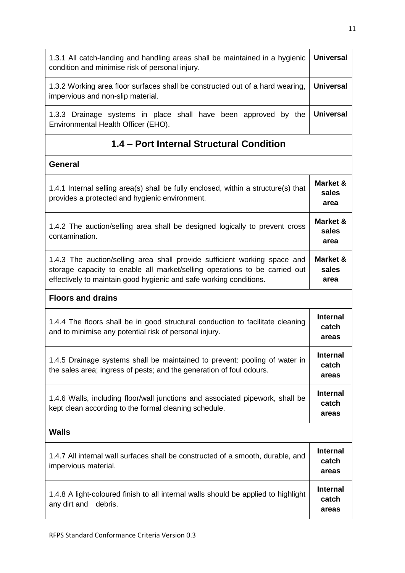| 1.3.1 All catch-landing and handling areas shall be maintained in a hygienic<br>condition and minimise risk of personal injury.                                                                                               |                                   |  |
|-------------------------------------------------------------------------------------------------------------------------------------------------------------------------------------------------------------------------------|-----------------------------------|--|
| 1.3.2 Working area floor surfaces shall be constructed out of a hard wearing,<br>impervious and non-slip material.                                                                                                            |                                   |  |
| 1.3.3 Drainage systems in place shall have been approved by the<br>Environmental Health Officer (EHO).                                                                                                                        | <b>Universal</b>                  |  |
| 1.4 – Port Internal Structural Condition                                                                                                                                                                                      |                                   |  |
| <b>General</b>                                                                                                                                                                                                                |                                   |  |
| 1.4.1 Internal selling area(s) shall be fully enclosed, within a structure(s) that<br>provides a protected and hygienic environment.                                                                                          | Market &<br>sales<br>area         |  |
| 1.4.2 The auction/selling area shall be designed logically to prevent cross<br>contamination.                                                                                                                                 | Market &<br>sales<br>area         |  |
| 1.4.3 The auction/selling area shall provide sufficient working space and<br>storage capacity to enable all market/selling operations to be carried out<br>effectively to maintain good hygienic and safe working conditions. |                                   |  |
| <b>Floors and drains</b>                                                                                                                                                                                                      |                                   |  |
| 1.4.4 The floors shall be in good structural conduction to facilitate cleaning<br>and to minimise any potential risk of personal injury.                                                                                      | <b>Internal</b><br>catch<br>areas |  |
| 1.4.5 Drainage systems shall be maintained to prevent: pooling of water in<br>the sales area; ingress of pests; and the generation of foul odours.                                                                            |                                   |  |
| 1.4.6 Walls, including floor/wall junctions and associated pipework, shall be<br>kept clean according to the formal cleaning schedule.                                                                                        |                                   |  |
| <b>Walls</b>                                                                                                                                                                                                                  |                                   |  |
| 1.4.7 All internal wall surfaces shall be constructed of a smooth, durable, and<br>impervious material.                                                                                                                       | <b>Internal</b><br>catch<br>areas |  |
| 1.4.8 A light-coloured finish to all internal walls should be applied to highlight<br>any dirt and<br>debris.                                                                                                                 | <b>Internal</b><br>catch<br>areas |  |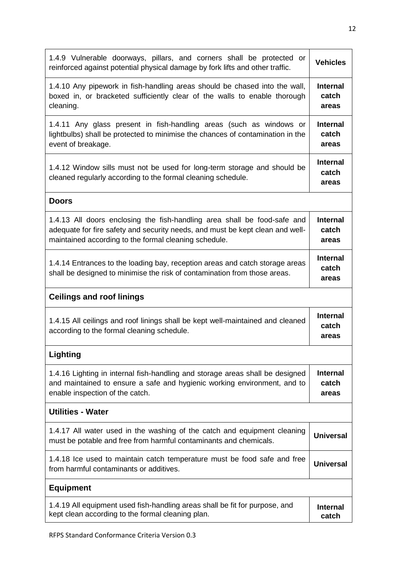| <b>Vehicles</b>                   |
|-----------------------------------|
| <b>Internal</b><br>catch<br>areas |
| <b>Internal</b><br>catch<br>areas |
| <b>Internal</b><br>catch<br>areas |
|                                   |
| <b>Internal</b><br>catch<br>areas |
| <b>Internal</b><br>catch<br>areas |
|                                   |
| <b>Internal</b><br>catch<br>areas |
|                                   |
| <b>Internal</b><br>catch<br>areas |
|                                   |
| <b>Universal</b>                  |
| <b>Universal</b>                  |
|                                   |
|                                   |
|                                   |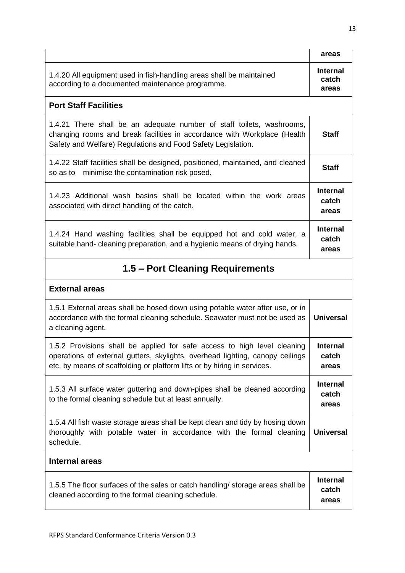|                                                                                                                                                                                                                                       | areas                             |  |
|---------------------------------------------------------------------------------------------------------------------------------------------------------------------------------------------------------------------------------------|-----------------------------------|--|
| 1.4.20 All equipment used in fish-handling areas shall be maintained<br>according to a documented maintenance programme.                                                                                                              | <b>Internal</b><br>catch<br>areas |  |
| <b>Port Staff Facilities</b>                                                                                                                                                                                                          |                                   |  |
| 1.4.21 There shall be an adequate number of staff toilets, washrooms,<br>changing rooms and break facilities in accordance with Workplace (Health<br>Safety and Welfare) Regulations and Food Safety Legislation.                     | <b>Staff</b>                      |  |
| 1.4.22 Staff facilities shall be designed, positioned, maintained, and cleaned<br>minimise the contamination risk posed.<br>so as to                                                                                                  | <b>Staff</b>                      |  |
| 1.4.23 Additional wash basins shall be located within the work areas<br>associated with direct handling of the catch.                                                                                                                 | <b>Internal</b><br>catch<br>areas |  |
| 1.4.24 Hand washing facilities shall be equipped hot and cold water, a<br>suitable hand- cleaning preparation, and a hygienic means of drying hands.                                                                                  | <b>Internal</b><br>catch<br>areas |  |
| 1.5 – Port Cleaning Requirements                                                                                                                                                                                                      |                                   |  |
| <b>External areas</b>                                                                                                                                                                                                                 |                                   |  |
| 1.5.1 External areas shall be hosed down using potable water after use, or in<br>accordance with the formal cleaning schedule. Seawater must not be used as<br>a cleaning agent.                                                      | <b>Universal</b>                  |  |
| 1.5.2 Provisions shall be applied for safe access to high level cleaning<br>operations of external gutters, skylights, overhead lighting, canopy ceilings<br>etc. by means of scaffolding or platform lifts or by hiring in services. | <b>Internal</b><br>catch<br>areas |  |
| 1.5.3 All surface water guttering and down-pipes shall be cleaned according<br>to the formal cleaning schedule but at least annually.                                                                                                 | <b>Internal</b><br>catch<br>areas |  |
| 1.5.4 All fish waste storage areas shall be kept clean and tidy by hosing down<br>thoroughly with potable water in accordance with the formal cleaning<br>schedule.                                                                   | <b>Universal</b>                  |  |
| <b>Internal areas</b>                                                                                                                                                                                                                 |                                   |  |
| 1.5.5 The floor surfaces of the sales or catch handling/ storage areas shall be<br>cleaned according to the formal cleaning schedule.                                                                                                 | <b>Internal</b><br>catch<br>areas |  |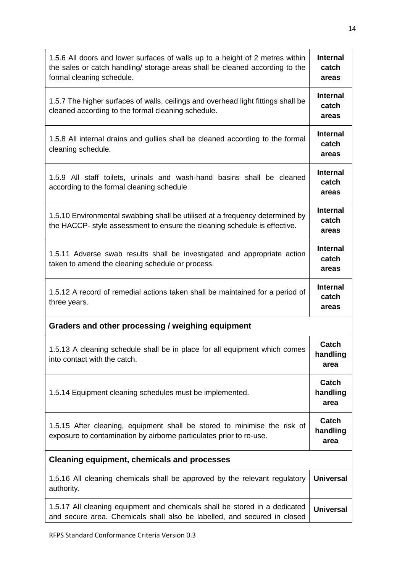| 1.5.6 All doors and lower surfaces of walls up to a height of 2 metres within<br>the sales or catch handling/ storage areas shall be cleaned according to the<br>formal cleaning schedule. | <b>Internal</b><br>catch<br>areas |  |  |
|--------------------------------------------------------------------------------------------------------------------------------------------------------------------------------------------|-----------------------------------|--|--|
| 1.5.7 The higher surfaces of walls, ceilings and overhead light fittings shall be<br>cleaned according to the formal cleaning schedule.                                                    | <b>Internal</b><br>catch<br>areas |  |  |
| 1.5.8 All internal drains and gullies shall be cleaned according to the formal<br>cleaning schedule.                                                                                       | <b>Internal</b><br>catch<br>areas |  |  |
| 1.5.9 All staff toilets, urinals and wash-hand basins shall be cleaned<br>according to the formal cleaning schedule.                                                                       | Internal<br>catch<br>areas        |  |  |
| 1.5.10 Environmental swabbing shall be utilised at a frequency determined by<br>the HACCP- style assessment to ensure the cleaning schedule is effective.                                  | <b>Internal</b><br>catch<br>areas |  |  |
| 1.5.11 Adverse swab results shall be investigated and appropriate action<br>taken to amend the cleaning schedule or process.                                                               | Internal<br>catch<br>areas        |  |  |
| 1.5.12 A record of remedial actions taken shall be maintained for a period of<br>three years.                                                                                              | Internal<br>catch<br>areas        |  |  |
| Graders and other processing / weighing equipment                                                                                                                                          |                                   |  |  |
| 1.5.13 A cleaning schedule shall be in place for all equipment which comes<br>into contact with the catch.                                                                                 | Catch<br>handling<br>area         |  |  |
| 1.5.14 Equipment cleaning schedules must be implemented.                                                                                                                                   | Catch<br>handling<br>area         |  |  |
| 1.5.15 After cleaning, equipment shall be stored to minimise the risk of<br>exposure to contamination by airborne particulates prior to re-use.                                            | Catch<br>handling<br>area         |  |  |
| <b>Cleaning equipment, chemicals and processes</b>                                                                                                                                         |                                   |  |  |
| 1.5.16 All cleaning chemicals shall be approved by the relevant regulatory<br>authority.                                                                                                   | <b>Universal</b>                  |  |  |
| 1.5.17 All cleaning equipment and chemicals shall be stored in a dedicated<br>and secure area. Chemicals shall also be labelled, and secured in closed                                     | <b>Universal</b>                  |  |  |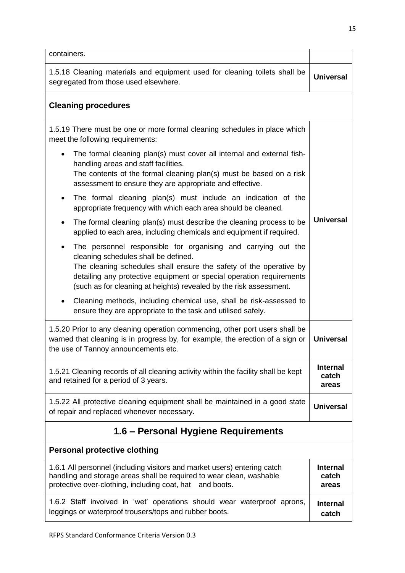| containers.                                                                                                                                                                                                                                                                                                                            |                  |  |
|----------------------------------------------------------------------------------------------------------------------------------------------------------------------------------------------------------------------------------------------------------------------------------------------------------------------------------------|------------------|--|
| 1.5.18 Cleaning materials and equipment used for cleaning toilets shall be<br>segregated from those used elsewhere.                                                                                                                                                                                                                    |                  |  |
| <b>Cleaning procedures</b>                                                                                                                                                                                                                                                                                                             |                  |  |
| 1.5.19 There must be one or more formal cleaning schedules in place which<br>meet the following requirements:                                                                                                                                                                                                                          |                  |  |
| The formal cleaning plan(s) must cover all internal and external fish-<br>$\bullet$<br>handling areas and staff facilities.<br>The contents of the formal cleaning plan(s) must be based on a risk<br>assessment to ensure they are appropriate and effective.                                                                         |                  |  |
| The formal cleaning plan(s) must include an indication of the<br>$\bullet$<br>appropriate frequency with which each area should be cleaned.                                                                                                                                                                                            |                  |  |
| The formal cleaning plan(s) must describe the cleaning process to be<br>$\bullet$<br>applied to each area, including chemicals and equipment if required.                                                                                                                                                                              | <b>Universal</b> |  |
| The personnel responsible for organising and carrying out the<br>$\bullet$<br>cleaning schedules shall be defined.<br>The cleaning schedules shall ensure the safety of the operative by<br>detailing any protective equipment or special operation requirements<br>(such as for cleaning at heights) revealed by the risk assessment. |                  |  |
| Cleaning methods, including chemical use, shall be risk-assessed to<br>$\bullet$<br>ensure they are appropriate to the task and utilised safely.                                                                                                                                                                                       |                  |  |
| 1.5.20 Prior to any cleaning operation commencing, other port users shall be<br>warned that cleaning is in progress by, for example, the erection of a sign or<br>the use of Tannoy announcements etc.                                                                                                                                 |                  |  |
| 1.5.21 Cleaning records of all cleaning activity within the facility shall be kept<br>and retained for a period of 3 years.                                                                                                                                                                                                            |                  |  |
| 1.5.22 All protective cleaning equipment shall be maintained in a good state<br>of repair and replaced whenever necessary.                                                                                                                                                                                                             |                  |  |
| 1.6 – Personal Hygiene Requirements                                                                                                                                                                                                                                                                                                    |                  |  |
| <b>Personal protective clothing</b>                                                                                                                                                                                                                                                                                                    |                  |  |
| 1.6.1 All personnel (including visitors and market users) entering catch<br>handling and storage areas shall be required to wear clean, washable<br>protective over-clothing, including coat, hat and boots.                                                                                                                           |                  |  |
| 1.6.2 Staff involved in 'wet' operations should wear waterproof aprons,<br>leggings or waterproof trousers/tops and rubber boots.                                                                                                                                                                                                      |                  |  |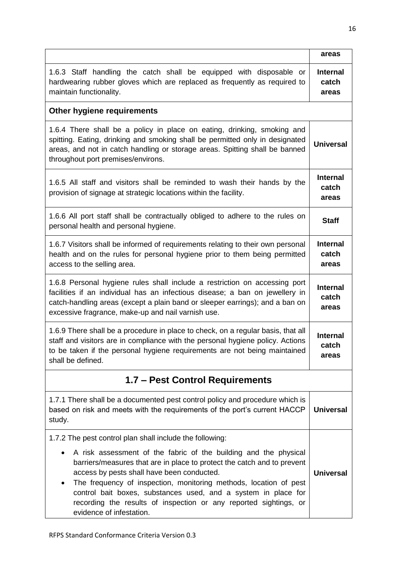|                                                                                                                                                                                                                                                                                                                                                                                                                                        | areas                             |  |
|----------------------------------------------------------------------------------------------------------------------------------------------------------------------------------------------------------------------------------------------------------------------------------------------------------------------------------------------------------------------------------------------------------------------------------------|-----------------------------------|--|
| 1.6.3 Staff handling the catch shall be equipped with disposable or<br>hardwearing rubber gloves which are replaced as frequently as required to<br>maintain functionality.                                                                                                                                                                                                                                                            | <b>Internal</b><br>catch<br>areas |  |
| Other hygiene requirements                                                                                                                                                                                                                                                                                                                                                                                                             |                                   |  |
| 1.6.4 There shall be a policy in place on eating, drinking, smoking and<br>spitting. Eating, drinking and smoking shall be permitted only in designated<br>areas, and not in catch handling or storage areas. Spitting shall be banned<br>throughout port premises/environs.                                                                                                                                                           | <b>Universal</b>                  |  |
| 1.6.5 All staff and visitors shall be reminded to wash their hands by the<br>provision of signage at strategic locations within the facility.                                                                                                                                                                                                                                                                                          | Internal<br>catch<br>areas        |  |
| 1.6.6 All port staff shall be contractually obliged to adhere to the rules on<br>personal health and personal hygiene.                                                                                                                                                                                                                                                                                                                 | <b>Staff</b>                      |  |
| 1.6.7 Visitors shall be informed of requirements relating to their own personal<br>health and on the rules for personal hygiene prior to them being permitted<br>access to the selling area.                                                                                                                                                                                                                                           | <b>Internal</b><br>catch<br>areas |  |
| 1.6.8 Personal hygiene rules shall include a restriction on accessing port<br>facilities if an individual has an infectious disease; a ban on jewellery in<br>catch-handling areas (except a plain band or sleeper earrings); and a ban on<br>excessive fragrance, make-up and nail varnish use.                                                                                                                                       | <b>Internal</b><br>catch<br>areas |  |
| 1.6.9 There shall be a procedure in place to check, on a regular basis, that all<br>staff and visitors are in compliance with the personal hygiene policy. Actions<br>to be taken if the personal hygiene requirements are not being maintained<br>shall be defined.                                                                                                                                                                   |                                   |  |
| 1.7 - Pest Control Requirements                                                                                                                                                                                                                                                                                                                                                                                                        |                                   |  |
| 1.7.1 There shall be a documented pest control policy and procedure which is<br>based on risk and meets with the requirements of the port's current HACCP<br>study.                                                                                                                                                                                                                                                                    | <b>Universal</b>                  |  |
| 1.7.2 The pest control plan shall include the following:                                                                                                                                                                                                                                                                                                                                                                               |                                   |  |
| A risk assessment of the fabric of the building and the physical<br>barriers/measures that are in place to protect the catch and to prevent<br>access by pests shall have been conducted.<br>The frequency of inspection, monitoring methods, location of pest<br>٠<br>control bait boxes, substances used, and a system in place for<br>recording the results of inspection or any reported sightings, or<br>evidence of infestation. | <b>Universal</b>                  |  |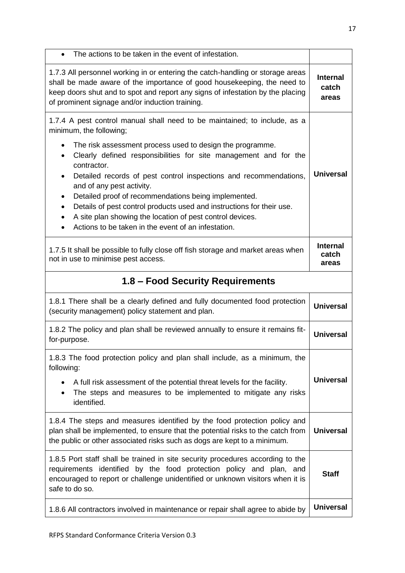| The actions to be taken in the event of infestation.                                                                                                                                                                                                                                           |                                   |
|------------------------------------------------------------------------------------------------------------------------------------------------------------------------------------------------------------------------------------------------------------------------------------------------|-----------------------------------|
| 1.7.3 All personnel working in or entering the catch-handling or storage areas<br>shall be made aware of the importance of good housekeeping, the need to<br>keep doors shut and to spot and report any signs of infestation by the placing<br>of prominent signage and/or induction training. | <b>Internal</b><br>catch<br>areas |
| 1.7.4 A pest control manual shall need to be maintained; to include, as a<br>minimum, the following;<br>The risk assessment process used to design the programme.<br>$\bullet$                                                                                                                 |                                   |
| Clearly defined responsibilities for site management and for the<br>$\bullet$<br>contractor.<br>Detailed records of pest control inspections and recommendations,<br>$\bullet$<br>and of any pest activity.                                                                                    | <b>Universal</b>                  |
| Detailed proof of recommendations being implemented.<br>$\bullet$<br>Details of pest control products used and instructions for their use.<br>$\bullet$<br>A site plan showing the location of pest control devices.<br>$\bullet$<br>Actions to be taken in the event of an infestation.       |                                   |
| 1.7.5 It shall be possible to fully close off fish storage and market areas when<br>not in use to minimise pest access.                                                                                                                                                                        | <b>Internal</b><br>catch<br>areas |
| 1.8 - Food Security Requirements                                                                                                                                                                                                                                                               |                                   |
| 1.8.1 There shall be a clearly defined and fully documented food protection<br>(security management) policy statement and plan.                                                                                                                                                                | <b>Universal</b>                  |
| 1.8.2 The policy and plan shall be reviewed annually to ensure it remains fit-<br>for-purpose.                                                                                                                                                                                                 | <b>Universal</b>                  |
| 1.8.3 The food protection policy and plan shall include, as a minimum, the<br>following:                                                                                                                                                                                                       |                                   |
| A full risk assessment of the potential threat levels for the facility.<br>$\bullet$<br>The steps and measures to be implemented to mitigate any risks<br>identified.                                                                                                                          | <b>Universal</b>                  |
| 1.8.4 The steps and measures identified by the food protection policy and<br>plan shall be implemented, to ensure that the potential risks to the catch from<br>the public or other associated risks such as dogs are kept to a minimum.                                                       | <b>Universal</b>                  |
| 1.8.5 Port staff shall be trained in site security procedures according to the<br>requirements identified by the food protection policy and plan, and<br>encouraged to report or challenge unidentified or unknown visitors when it is<br>safe to do so.                                       | <b>Staff</b>                      |
| 1.8.6 All contractors involved in maintenance or repair shall agree to abide by                                                                                                                                                                                                                | <b>Universal</b>                  |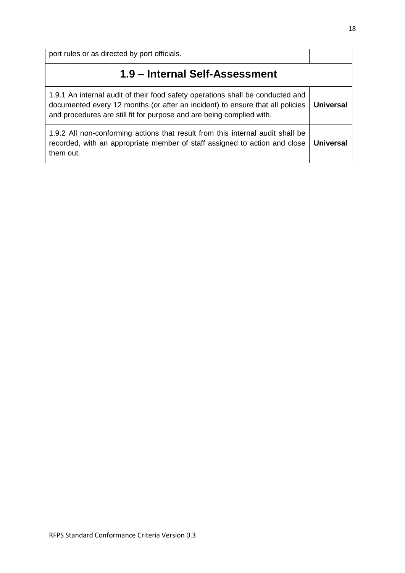port rules or as directed by port officials. **1.9 – Internal Self-Assessment** 1.9.1 An internal audit of their food safety operations shall be conducted and documented every 12 months (or after an incident) to ensure that all policies and procedures are still fit for purpose and are being complied with. **Universal** 1.9.2 All non-conforming actions that result from this internal audit shall be recorded, with an appropriate member of staff assigned to action and close them out. **Universal**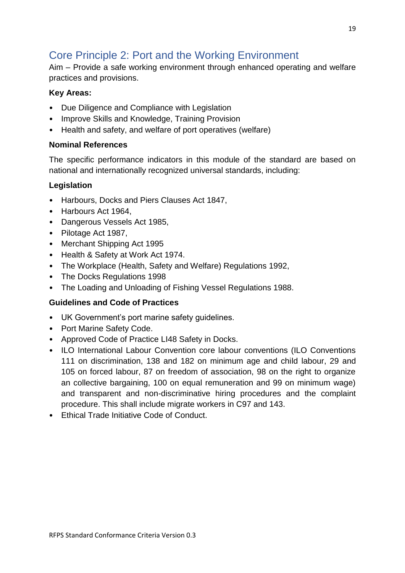# <span id="page-18-0"></span>Core Principle 2: Port and the Working Environment

Aim – Provide a safe working environment through enhanced operating and welfare practices and provisions.

### **Key Areas:**

- Due Diligence and Compliance with Legislation
- Improve Skills and Knowledge, Training Provision
- Health and safety, and welfare of port operatives (welfare)

### **Nominal References**

The specific performance indicators in this module of the standard are based on national and internationally recognized universal standards, including:

### **Legislation**

- Harbours, Docks and Piers Clauses Act 1847,
- Harbours Act 1964,
- Dangerous Vessels Act 1985,
- Pilotage Act 1987,
- Merchant Shipping Act 1995
- Health & Safety at Work Act 1974.
- The Workplace (Health, Safety and Welfare) Regulations 1992,
- The Docks Regulations 1998
- The Loading and Unloading of Fishing Vessel Regulations 1988.

### **Guidelines and Code of Practices**

- UK Government's port marine safety guidelines.
- Port Marine Safety Code.
- Approved Code of Practice LI48 Safety in Docks.
- ILO International Labour Convention core labour conventions (ILO Conventions 111 on discrimination, 138 and 182 on minimum age and child labour, 29 and 105 on forced labour, 87 on freedom of association, 98 on the right to organize an collective bargaining, 100 on equal remuneration and 99 on minimum wage) and transparent and non-discriminative hiring procedures and the complaint procedure. This shall include migrate workers in C97 and 143.
- Ethical Trade Initiative Code of Conduct.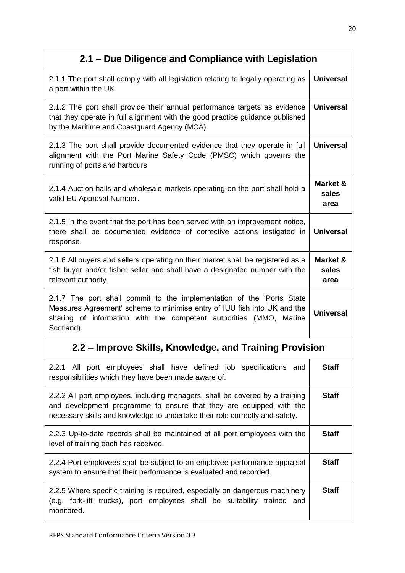# **2.1 – Due Diligence and Compliance with Legislation**

| 2.1.1 The port shall comply with all legislation relating to legally operating as<br>a port within the UK.                                                                                                                            | <b>Universal</b>          |
|---------------------------------------------------------------------------------------------------------------------------------------------------------------------------------------------------------------------------------------|---------------------------|
| 2.1.2 The port shall provide their annual performance targets as evidence<br>that they operate in full alignment with the good practice guidance published<br>by the Maritime and Coastguard Agency (MCA).                            | <b>Universal</b>          |
| 2.1.3 The port shall provide documented evidence that they operate in full<br>alignment with the Port Marine Safety Code (PMSC) which governs the<br>running of ports and harbours.                                                   | <b>Universal</b>          |
| 2.1.4 Auction halls and wholesale markets operating on the port shall hold a<br>valid EU Approval Number.                                                                                                                             | Market &<br>sales<br>area |
| 2.1.5 In the event that the port has been served with an improvement notice,<br>there shall be documented evidence of corrective actions instigated in<br>response.                                                                   | <b>Universal</b>          |
| 2.1.6 All buyers and sellers operating on their market shall be registered as a<br>fish buyer and/or fisher seller and shall have a designated number with the<br>relevant authority.                                                 | Market &<br>sales<br>area |
| 2.1.7 The port shall commit to the implementation of the 'Ports State<br>Measures Agreement' scheme to minimise entry of IUU fish into UK and the<br>sharing of information with the competent authorities (MMO, Marine<br>Scotland). | <b>Universal</b>          |
| 2.2 – Improve Skills, Knowledge, and Training Provision                                                                                                                                                                               |                           |
| 2.2.1 All port employees shall have defined job specifications and<br>responsibilities which they have been made aware of.                                                                                                            | <b>Staff</b>              |
| 2.2.2 All port employees, including managers, shall be covered by a training<br>and development programme to ensure that they are equipped with the<br>necessary skills and knowledge to undertake their role correctly and safety.   | <b>Staff</b>              |
| 2.2.3 Up-to-date records shall be maintained of all port employees with the<br>level of training each has received.                                                                                                                   | <b>Staff</b>              |
| 2.2.4 Port employees shall be subject to an employee performance appraisal<br>system to ensure that their performance is evaluated and recorded.                                                                                      | <b>Staff</b>              |
| 2.2.5 Where specific training is required, especially on dangerous machinery<br>(e.g. fork-lift trucks), port employees shall be suitability trained and<br>monitored.                                                                | <b>Staff</b>              |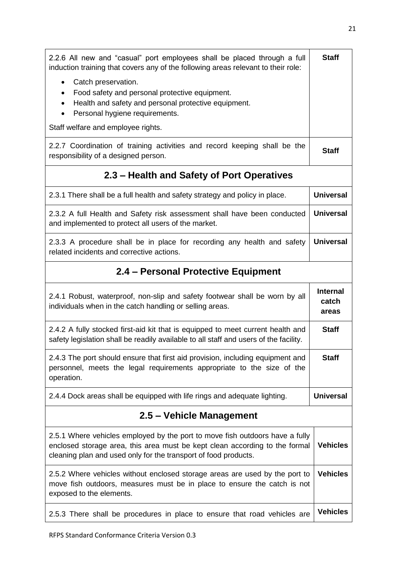| 2.2.6 All new and "casual" port employees shall be placed through a full<br>induction training that covers any of the following areas relevant to their role:                                                                  | <b>Staff</b>                      |
|--------------------------------------------------------------------------------------------------------------------------------------------------------------------------------------------------------------------------------|-----------------------------------|
| Catch preservation.<br>$\bullet$<br>Food safety and personal protective equipment.<br>Health and safety and personal protective equipment.<br>$\bullet$<br>Personal hygiene requirements.                                      |                                   |
| Staff welfare and employee rights.                                                                                                                                                                                             |                                   |
| 2.2.7 Coordination of training activities and record keeping shall be the<br>responsibility of a designed person.                                                                                                              | <b>Staff</b>                      |
| 2.3 – Health and Safety of Port Operatives                                                                                                                                                                                     |                                   |
| 2.3.1 There shall be a full health and safety strategy and policy in place.                                                                                                                                                    | <b>Universal</b>                  |
| 2.3.2 A full Health and Safety risk assessment shall have been conducted<br>and implemented to protect all users of the market.                                                                                                | <b>Universal</b>                  |
| 2.3.3 A procedure shall be in place for recording any health and safety<br>related incidents and corrective actions.                                                                                                           | <b>Universal</b>                  |
| 2.4 - Personal Protective Equipment                                                                                                                                                                                            |                                   |
| 2.4.1 Robust, waterproof, non-slip and safety footwear shall be worn by all<br>individuals when in the catch handling or selling areas.                                                                                        | <b>Internal</b><br>catch<br>areas |
| 2.4.2 A fully stocked first-aid kit that is equipped to meet current health and<br>safety legislation shall be readily available to all staff and users of the facility.                                                       | <b>Staff</b>                      |
| 2.4.3 The port should ensure that first aid provision, including equipment and<br>personnel, meets the legal requirements appropriate to the size of the<br>operation.                                                         | <b>Staff</b>                      |
| 2.4.4 Dock areas shall be equipped with life rings and adequate lighting.                                                                                                                                                      | <b>Universal</b>                  |
| 2.5 - Vehicle Management                                                                                                                                                                                                       |                                   |
| 2.5.1 Where vehicles employed by the port to move fish outdoors have a fully<br>enclosed storage area, this area must be kept clean according to the formal<br>cleaning plan and used only for the transport of food products. | <b>Vehicles</b>                   |
| 2.5.2 Where vehicles without enclosed storage areas are used by the port to<br>move fish outdoors, measures must be in place to ensure the catch is not<br>exposed to the elements.                                            | <b>Vehicles</b>                   |
| 2.5.3 There shall be procedures in place to ensure that road vehicles are                                                                                                                                                      | <b>Vehicles</b>                   |
|                                                                                                                                                                                                                                |                                   |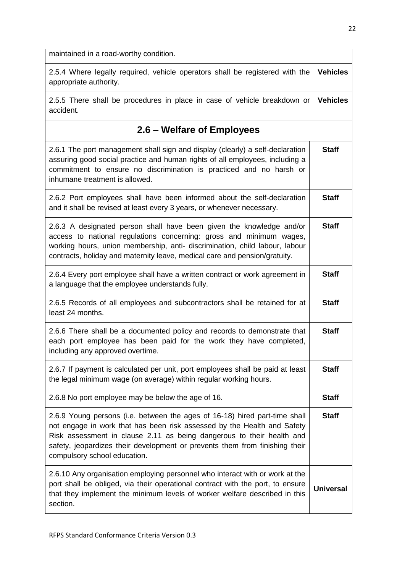| maintained in a road-worthy condition.                                                                                                                                                                                                                                                                                                        |                  |
|-----------------------------------------------------------------------------------------------------------------------------------------------------------------------------------------------------------------------------------------------------------------------------------------------------------------------------------------------|------------------|
| 2.5.4 Where legally required, vehicle operators shall be registered with the<br>appropriate authority.                                                                                                                                                                                                                                        | <b>Vehicles</b>  |
| 2.5.5 There shall be procedures in place in case of vehicle breakdown or<br>accident.                                                                                                                                                                                                                                                         | <b>Vehicles</b>  |
| 2.6 - Welfare of Employees                                                                                                                                                                                                                                                                                                                    |                  |
| 2.6.1 The port management shall sign and display (clearly) a self-declaration<br>assuring good social practice and human rights of all employees, including a<br>commitment to ensure no discrimination is practiced and no harsh or<br>inhumane treatment is allowed.                                                                        | <b>Staff</b>     |
| 2.6.2 Port employees shall have been informed about the self-declaration<br>and it shall be revised at least every 3 years, or whenever necessary.                                                                                                                                                                                            | <b>Staff</b>     |
| 2.6.3 A designated person shall have been given the knowledge and/or<br>access to national regulations concerning: gross and minimum wages,<br>working hours, union membership, anti- discrimination, child labour, labour<br>contracts, holiday and maternity leave, medical care and pension/gratuity.                                      | <b>Staff</b>     |
| 2.6.4 Every port employee shall have a written contract or work agreement in<br>a language that the employee understands fully.                                                                                                                                                                                                               | <b>Staff</b>     |
| 2.6.5 Records of all employees and subcontractors shall be retained for at<br>least 24 months.                                                                                                                                                                                                                                                | <b>Staff</b>     |
| 2.6.6 There shall be a documented policy and records to demonstrate that<br>each port employee has been paid for the work they have completed,<br>including any approved overtime.                                                                                                                                                            | <b>Staff</b>     |
| 2.6.7 If payment is calculated per unit, port employees shall be paid at least<br>the legal minimum wage (on average) within regular working hours.                                                                                                                                                                                           | <b>Staff</b>     |
| 2.6.8 No port employee may be below the age of 16.                                                                                                                                                                                                                                                                                            | <b>Staff</b>     |
| 2.6.9 Young persons (i.e. between the ages of 16-18) hired part-time shall<br>not engage in work that has been risk assessed by the Health and Safety<br>Risk assessment in clause 2.11 as being dangerous to their health and<br>safety, jeopardizes their development or prevents them from finishing their<br>compulsory school education. | <b>Staff</b>     |
| 2.6.10 Any organisation employing personnel who interact with or work at the<br>port shall be obliged, via their operational contract with the port, to ensure<br>that they implement the minimum levels of worker welfare described in this<br>section.                                                                                      | <b>Universal</b> |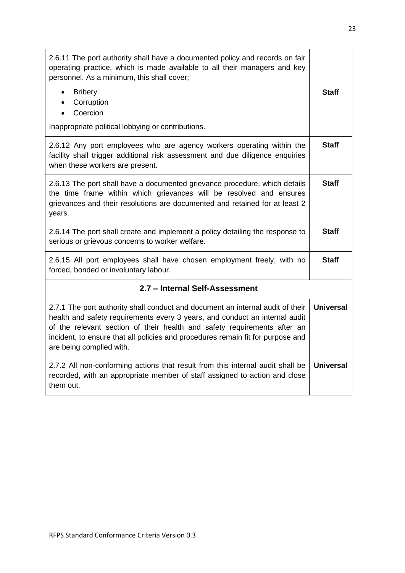| 2.6.11 The port authority shall have a documented policy and records on fair<br>operating practice, which is made available to all their managers and key<br>personnel. As a minimum, this shall cover;<br><b>Bribery</b><br>$\bullet$<br>Corruption<br>Coercion<br>Inappropriate political lobbying or contributions.                                   | Staff            |
|----------------------------------------------------------------------------------------------------------------------------------------------------------------------------------------------------------------------------------------------------------------------------------------------------------------------------------------------------------|------------------|
| 2.6.12 Any port employees who are agency workers operating within the<br>facility shall trigger additional risk assessment and due diligence enquiries<br>when these workers are present.                                                                                                                                                                | <b>Staff</b>     |
| 2.6.13 The port shall have a documented grievance procedure, which details<br>the time frame within which grievances will be resolved and ensures<br>grievances and their resolutions are documented and retained for at least 2<br>years.                                                                                                               | <b>Staff</b>     |
| 2.6.14 The port shall create and implement a policy detailing the response to<br>serious or grievous concerns to worker welfare.                                                                                                                                                                                                                         | <b>Staff</b>     |
| 2.6.15 All port employees shall have chosen employment freely, with no<br>forced, bonded or involuntary labour.                                                                                                                                                                                                                                          | <b>Staff</b>     |
| 2.7 - Internal Self-Assessment                                                                                                                                                                                                                                                                                                                           |                  |
| 2.7.1 The port authority shall conduct and document an internal audit of their<br>health and safety requirements every 3 years, and conduct an internal audit<br>of the relevant section of their health and safety requirements after an<br>incident, to ensure that all policies and procedures remain fit for purpose and<br>are being complied with. | <b>Universal</b> |
| 2.7.2 All non-conforming actions that result from this internal audit shall be<br>recorded, with an appropriate member of staff assigned to action and close<br>them out.                                                                                                                                                                                | <b>Universal</b> |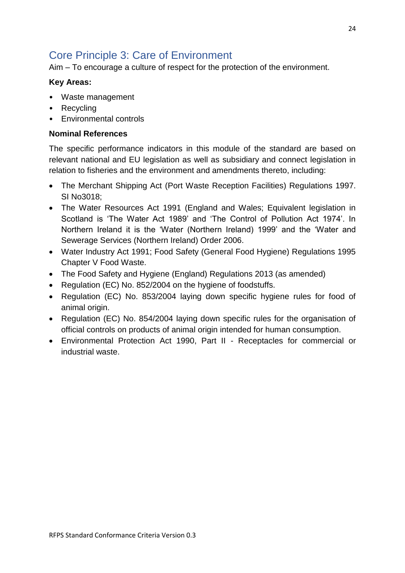# <span id="page-23-0"></span>Core Principle 3: Care of Environment

Aim – To encourage a culture of respect for the protection of the environment.

#### **Key Areas:**

- Waste management
- Recycling
- Environmental controls

#### **Nominal References**

The specific performance indicators in this module of the standard are based on relevant national and EU legislation as well as subsidiary and connect legislation in relation to fisheries and the environment and amendments thereto, including:

- The Merchant Shipping Act (Port Waste Reception Facilities) Regulations 1997. SI No3018;
- The Water Resources Act 1991 (England and Wales; Equivalent legislation in Scotland is 'The Water Act 1989' and 'The Control of Pollution Act 1974'. In Northern Ireland it is the 'Water (Northern Ireland) 1999' and the 'Water and Sewerage Services (Northern Ireland) Order 2006.
- Water Industry Act 1991; Food Safety (General Food Hygiene) Regulations 1995 Chapter V Food Waste.
- The Food Safety and Hygiene (England) Regulations 2013 (as amended)
- Regulation (EC) No. 852/2004 on the hygiene of foodstuffs.
- Regulation (EC) No. 853/2004 laying down specific hygiene rules for food of animal origin.
- Regulation (EC) No. 854/2004 laying down specific rules for the organisation of official controls on products of animal origin intended for human consumption.
- Environmental Protection Act 1990, Part II Receptacles for commercial or industrial waste.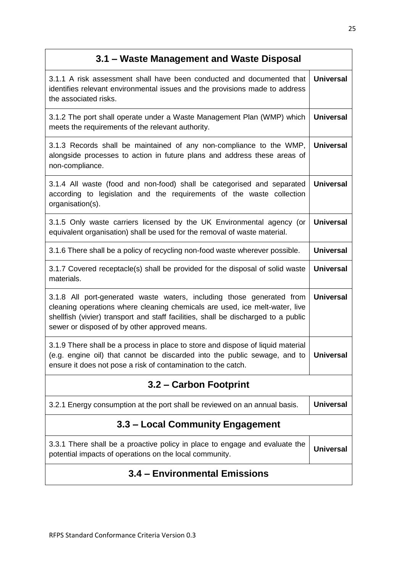# **3.1 – Waste Management and Waste Disposal**

| 3.1.1 A risk assessment shall have been conducted and documented that<br>identifies relevant environmental issues and the provisions made to address<br>the associated risks.                                                                                                               | <b>Universal</b> |
|---------------------------------------------------------------------------------------------------------------------------------------------------------------------------------------------------------------------------------------------------------------------------------------------|------------------|
| 3.1.2 The port shall operate under a Waste Management Plan (WMP) which<br>meets the requirements of the relevant authority.                                                                                                                                                                 | <b>Universal</b> |
| 3.1.3 Records shall be maintained of any non-compliance to the WMP,<br>alongside processes to action in future plans and address these areas of<br>non-compliance.                                                                                                                          | <b>Universal</b> |
| 3.1.4 All waste (food and non-food) shall be categorised and separated<br>according to legislation and the requirements of the waste collection<br>organisation(s).                                                                                                                         | <b>Universal</b> |
| 3.1.5 Only waste carriers licensed by the UK Environmental agency (or<br>equivalent organisation) shall be used for the removal of waste material.                                                                                                                                          | <b>Universal</b> |
| 3.1.6 There shall be a policy of recycling non-food waste wherever possible.                                                                                                                                                                                                                | <b>Universal</b> |
| 3.1.7 Covered receptacle(s) shall be provided for the disposal of solid waste<br>materials.                                                                                                                                                                                                 | <b>Universal</b> |
| 3.1.8 All port-generated waste waters, including those generated from<br>cleaning operations where cleaning chemicals are used, ice melt-water, live<br>shellfish (vivier) transport and staff facilities, shall be discharged to a public<br>sewer or disposed of by other approved means. | <b>Universal</b> |
| 3.1.9 There shall be a process in place to store and dispose of liquid material<br>(e.g. engine oil) that cannot be discarded into the public sewage, and to<br>ensure it does not pose a risk of contamination to the catch.                                                               | <b>Universal</b> |
| 3.2 – Carbon Footprint                                                                                                                                                                                                                                                                      |                  |
| 3.2.1 Energy consumption at the port shall be reviewed on an annual basis.                                                                                                                                                                                                                  | <b>Universal</b> |
| 3.3 – Local Community Engagement                                                                                                                                                                                                                                                            |                  |
| 3.3.1 There shall be a proactive policy in place to engage and evaluate the<br>potential impacts of operations on the local community.                                                                                                                                                      | <b>Universal</b> |
| 3.4 - Environmental Emissions                                                                                                                                                                                                                                                               |                  |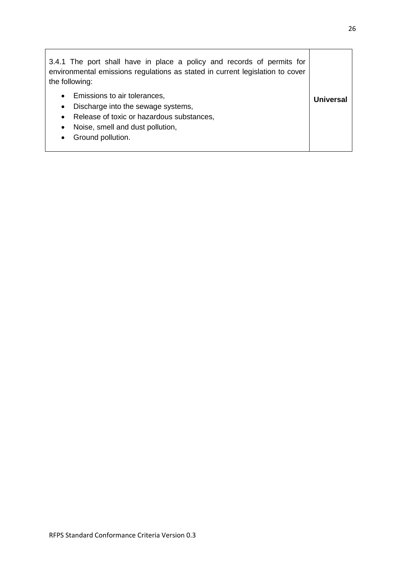| 3.4.1 The port shall have in place a policy and records of permits for<br>environmental emissions regulations as stated in current legislation to cover<br>the following:                                                    |           |
|------------------------------------------------------------------------------------------------------------------------------------------------------------------------------------------------------------------------------|-----------|
| Emissions to air tolerances,<br>$\bullet$<br>Discharge into the sewage systems,<br>$\bullet$<br>Release of toxic or hazardous substances,<br>Noise, smell and dust pollution,<br>$\bullet$<br>Ground pollution.<br>$\bullet$ | Universal |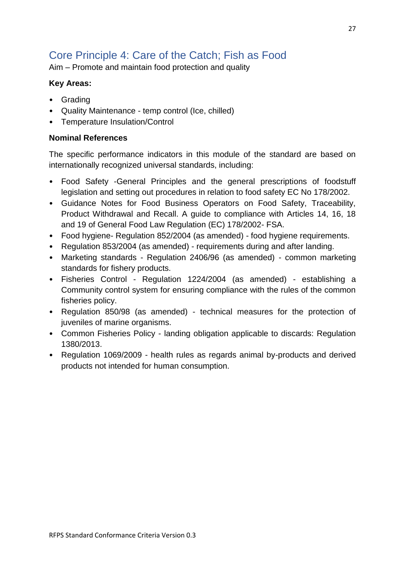# <span id="page-26-0"></span>Core Principle 4: Care of the Catch; Fish as Food

Aim – Promote and maintain food protection and quality

### **Key Areas:**

- Grading
- Quality Maintenance temp control (Ice, chilled)
- Temperature Insulation/Control

### **Nominal References**

The specific performance indicators in this module of the standard are based on internationally recognized universal standards, including:

- Food Safety -General Principles and the general prescriptions of foodstuff legislation and setting out procedures in relation to food safety EC No 178/2002.
- Guidance Notes for Food Business Operators on Food Safety, Traceability, Product Withdrawal and Recall. A guide to compliance with Articles 14, 16, 18 and 19 of General Food Law Regulation (EC) 178/2002- FSA.
- Food hygiene- Regulation 852/2004 (as amended) food hygiene requirements.
- Regulation 853/2004 (as amended) requirements during and after landing.
- Marketing standards Regulation 2406/96 (as amended) common marketing standards for fishery products.
- Fisheries Control Regulation 1224/2004 (as amended) establishing a Community control system for ensuring compliance with the rules of the common fisheries policy.
- Regulation 850/98 (as amended) technical measures for the protection of juveniles of marine organisms.
- Common Fisheries Policy landing obligation applicable to discards: Regulation 1380/2013.
- Regulation 1069/2009 health rules as regards animal by-products and derived products not intended for human consumption.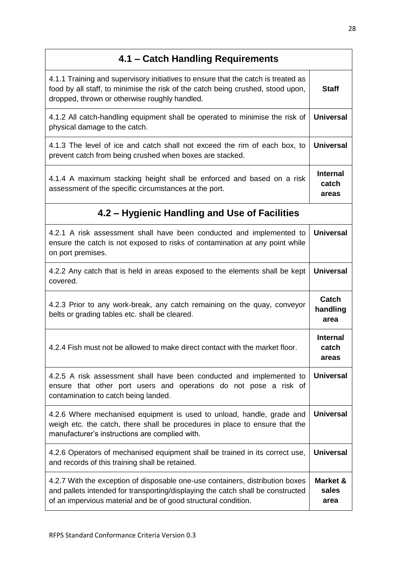| 4.1 - Catch Handling Requirements                                                                                                                                                                                                  |                                   |
|------------------------------------------------------------------------------------------------------------------------------------------------------------------------------------------------------------------------------------|-----------------------------------|
| 4.1.1 Training and supervisory initiatives to ensure that the catch is treated as<br>food by all staff, to minimise the risk of the catch being crushed, stood upon,<br>dropped, thrown or otherwise roughly handled.              | <b>Staff</b>                      |
| 4.1.2 All catch-handling equipment shall be operated to minimise the risk of<br>physical damage to the catch.                                                                                                                      | <b>Universal</b>                  |
| 4.1.3 The level of ice and catch shall not exceed the rim of each box, to<br>prevent catch from being crushed when boxes are stacked.                                                                                              | <b>Universal</b>                  |
| 4.1.4 A maximum stacking height shall be enforced and based on a risk<br>assessment of the specific circumstances at the port.                                                                                                     | <b>Internal</b><br>catch<br>areas |
| 4.2 – Hygienic Handling and Use of Facilities                                                                                                                                                                                      |                                   |
| 4.2.1 A risk assessment shall have been conducted and implemented to<br>ensure the catch is not exposed to risks of contamination at any point while<br>on port premises.                                                          | <b>Universal</b>                  |
| 4.2.2 Any catch that is held in areas exposed to the elements shall be kept<br>covered.                                                                                                                                            | <b>Universal</b>                  |
| 4.2.3 Prior to any work-break, any catch remaining on the quay, conveyor<br>belts or grading tables etc. shall be cleared.                                                                                                         | Catch<br>handling<br>area         |
| 4.2.4 Fish must not be allowed to make direct contact with the market floor.                                                                                                                                                       | <b>Internal</b><br>catch<br>areas |
| 4.2.5 A risk assessment shall have been conducted and implemented to<br>ensure that other port users and operations do not pose a risk of<br>contamination to catch being landed.                                                  | <b>Universal</b>                  |
| 4.2.6 Where mechanised equipment is used to unload, handle, grade and<br>weigh etc. the catch, there shall be procedures in place to ensure that the<br>manufacturer's instructions are complied with.                             | <b>Universal</b>                  |
| 4.2.6 Operators of mechanised equipment shall be trained in its correct use,<br>and records of this training shall be retained.                                                                                                    | <b>Universal</b>                  |
| 4.2.7 With the exception of disposable one-use containers, distribution boxes<br>and pallets intended for transporting/displaying the catch shall be constructed<br>of an impervious material and be of good structural condition. | Market &<br>sales<br>area         |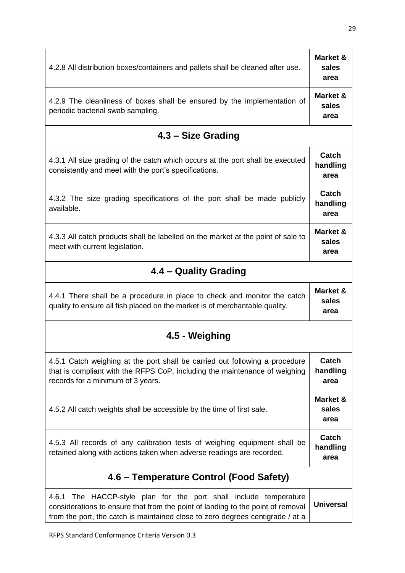| 4.2.8 All distribution boxes/containers and pallets shall be cleaned after use.                                                                                                                                                        | Market &<br>sales<br>area |  |
|----------------------------------------------------------------------------------------------------------------------------------------------------------------------------------------------------------------------------------------|---------------------------|--|
| 4.2.9 The cleanliness of boxes shall be ensured by the implementation of<br>periodic bacterial swab sampling.                                                                                                                          | Market &<br>sales<br>area |  |
| 4.3 – Size Grading                                                                                                                                                                                                                     |                           |  |
| 4.3.1 All size grading of the catch which occurs at the port shall be executed<br>consistently and meet with the port's specifications.                                                                                                | Catch<br>handling<br>area |  |
| 4.3.2 The size grading specifications of the port shall be made publicly<br>available.                                                                                                                                                 | Catch<br>handling<br>area |  |
| 4.3.3 All catch products shall be labelled on the market at the point of sale to<br>meet with current legislation.                                                                                                                     | Market &<br>sales<br>area |  |
| 4.4 – Quality Grading                                                                                                                                                                                                                  |                           |  |
| 4.4.1 There shall be a procedure in place to check and monitor the catch<br>quality to ensure all fish placed on the market is of merchantable quality.                                                                                | Market &<br>sales<br>area |  |
| 4.5 - Weighing                                                                                                                                                                                                                         |                           |  |
| 4.5.1 Catch weighing at the port shall be carried out following a procedure<br>that is compliant with the RFPS CoP, including the maintenance of weighing<br>records for a minimum of 3 years.                                         | Catch<br>handling<br>area |  |
| 4.5.2 All catch weights shall be accessible by the time of first sale.                                                                                                                                                                 | Market &<br>sales<br>area |  |
| 4.5.3 All records of any calibration tests of weighing equipment shall be<br>retained along with actions taken when adverse readings are recorded.                                                                                     | Catch<br>handling<br>area |  |
| 4.6 - Temperature Control (Food Safety)                                                                                                                                                                                                |                           |  |
| 4.6.1 The HACCP-style plan for the port shall include temperature<br>considerations to ensure that from the point of landing to the point of removal<br>from the port, the catch is maintained close to zero degrees centigrade / at a | <b>Universal</b>          |  |

RFPS Standard Conformance Criteria Version 0.3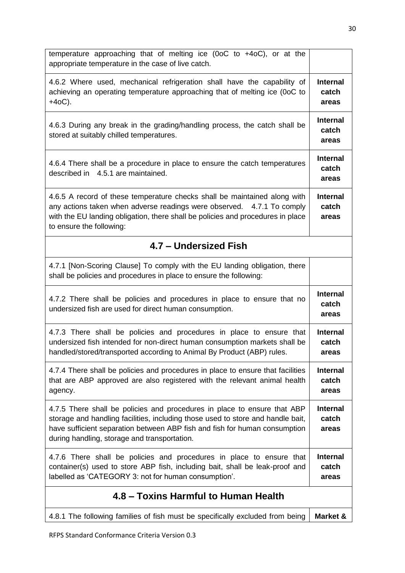| temperature approaching that of melting ice (0oC to $+4$ oC), or at the<br>appropriate temperature in the case of live catch.                                                                                                                                                             |                                   |
|-------------------------------------------------------------------------------------------------------------------------------------------------------------------------------------------------------------------------------------------------------------------------------------------|-----------------------------------|
| 4.6.2 Where used, mechanical refrigeration shall have the capability of<br>achieving an operating temperature approaching that of melting ice (0oC to<br>$+40C$ ).                                                                                                                        | <b>Internal</b><br>catch<br>areas |
| 4.6.3 During any break in the grading/handling process, the catch shall be<br>stored at suitably chilled temperatures.                                                                                                                                                                    | <b>Internal</b><br>catch<br>areas |
| 4.6.4 There shall be a procedure in place to ensure the catch temperatures<br>described in 4.5.1 are maintained.                                                                                                                                                                          | <b>Internal</b><br>catch<br>areas |
| 4.6.5 A record of these temperature checks shall be maintained along with<br>any actions taken when adverse readings were observed. 4.7.1 To comply<br>with the EU landing obligation, there shall be policies and procedures in place<br>to ensure the following:                        | <b>Internal</b><br>catch<br>areas |
| 4.7 – Undersized Fish                                                                                                                                                                                                                                                                     |                                   |
| 4.7.1 [Non-Scoring Clause] To comply with the EU landing obligation, there<br>shall be policies and procedures in place to ensure the following:                                                                                                                                          |                                   |
| 4.7.2 There shall be policies and procedures in place to ensure that no<br>undersized fish are used for direct human consumption.                                                                                                                                                         | <b>Internal</b><br>catch<br>areas |
| 4.7.3 There shall be policies and procedures in place to ensure that<br>undersized fish intended for non-direct human consumption markets shall be<br>handled/stored/transported according to Animal By Product (ABP) rules.                                                              | <b>Internal</b><br>catch<br>areas |
| 4.7.4 There shall be policies and procedures in place to ensure that facilities<br>that are ABP approved are also registered with the relevant animal health<br>agency.                                                                                                                   | <b>Internal</b><br>catch<br>areas |
| 4.7.5 There shall be policies and procedures in place to ensure that ABP<br>storage and handling facilities, including those used to store and handle bait,<br>have sufficient separation between ABP fish and fish for human consumption<br>during handling, storage and transportation. | <b>Internal</b><br>catch<br>areas |
| 4.7.6 There shall be policies and procedures in place to ensure that<br>container(s) used to store ABP fish, including bait, shall be leak-proof and<br>labelled as 'CATEGORY 3: not for human consumption'.                                                                              | <b>Internal</b><br>catch<br>areas |
| 4.8 – Toxins Harmful to Human Health                                                                                                                                                                                                                                                      |                                   |
| 4.8.1 The following families of fish must be specifically excluded from being                                                                                                                                                                                                             | Market &                          |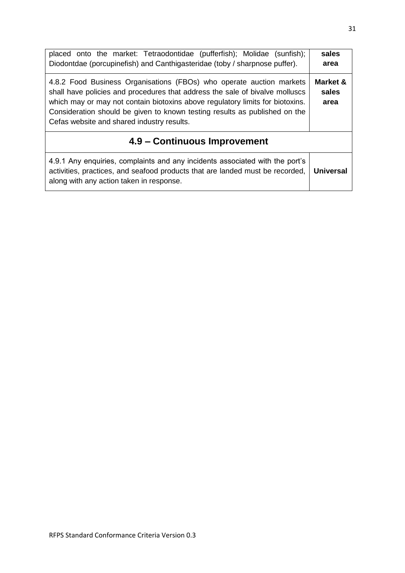| placed onto the market: Tetraodontidae (pufferfish); Molidae (sunfish);<br>Diodontdae (porcupinefish) and Canthigasteridae (toby / sharpnose puffer).                                                                                                                                                                                                             | sales<br>area             |
|-------------------------------------------------------------------------------------------------------------------------------------------------------------------------------------------------------------------------------------------------------------------------------------------------------------------------------------------------------------------|---------------------------|
| 4.8.2 Food Business Organisations (FBOs) who operate auction markets<br>shall have policies and procedures that address the sale of bivalve molluscs<br>which may or may not contain biotoxins above regulatory limits for biotoxins.<br>Consideration should be given to known testing results as published on the<br>Cefas website and shared industry results. | Market &<br>sales<br>area |
| 4.9 – Continuous Improvement                                                                                                                                                                                                                                                                                                                                      |                           |
| 4.9.1 Any enquiries, complaints and any incidents associated with the port's<br>activities, practices, and seafood products that are landed must be recorded,<br>along with any action taken in response.                                                                                                                                                         | <b>Universal</b>          |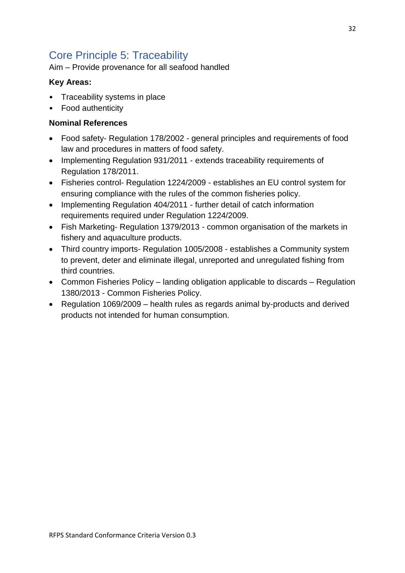# <span id="page-31-0"></span>Core Principle 5: Traceability

Aim – Provide provenance for all seafood handled

### **Key Areas:**

- Traceability systems in place
- Food authenticity

### **Nominal References**

- Food safety- Regulation 178/2002 general principles and requirements of food law and procedures in matters of food safety.
- Implementing Regulation 931/2011 extends traceability requirements of Regulation 178/2011.
- Fisheries control- Regulation 1224/2009 establishes an EU control system for ensuring compliance with the rules of the common fisheries policy.
- Implementing Regulation 404/2011 further detail of catch information requirements required under Regulation 1224/2009.
- Fish Marketing- Regulation 1379/2013 common organisation of the markets in fishery and aquaculture products.
- Third country imports- Regulation 1005/2008 establishes a Community system to prevent, deter and eliminate illegal, unreported and unregulated fishing from third countries.
- Common Fisheries Policy landing obligation applicable to discards Regulation 1380/2013 - Common Fisheries Policy.
- Regulation 1069/2009 health rules as regards animal by-products and derived products not intended for human consumption.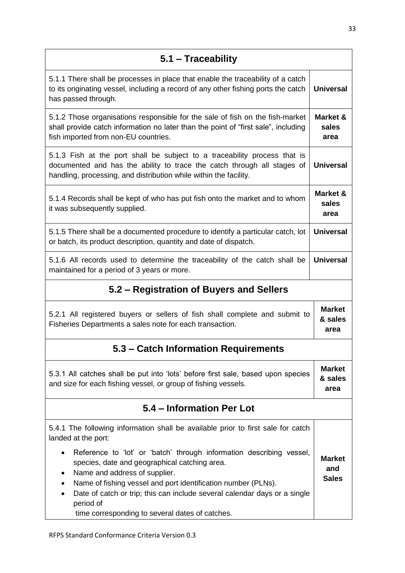| 5.1 - Traceability                                                                                                                                                                                                                                                                                                                                                                             |                                      |
|------------------------------------------------------------------------------------------------------------------------------------------------------------------------------------------------------------------------------------------------------------------------------------------------------------------------------------------------------------------------------------------------|--------------------------------------|
| 5.1.1 There shall be processes in place that enable the traceability of a catch<br>to its originating vessel, including a record of any other fishing ports the catch<br>has passed through.                                                                                                                                                                                                   | <b>Universal</b>                     |
| 5.1.2 Those organisations responsible for the sale of fish on the fish-market<br>shall provide catch information no later than the point of "first sale", including<br>fish imported from non-EU countries.                                                                                                                                                                                    | Market &<br>sales<br>area            |
| 5.1.3 Fish at the port shall be subject to a traceability process that is<br>documented and has the ability to trace the catch through all stages of<br>handling, processing, and distribution while within the facility.                                                                                                                                                                      | <b>Universal</b>                     |
| 5.1.4 Records shall be kept of who has put fish onto the market and to whom<br>it was subsequently supplied.                                                                                                                                                                                                                                                                                   | Market &<br>sales<br>area            |
| 5.1.5 There shall be a documented procedure to identify a particular catch, lot<br>or batch, its product description, quantity and date of dispatch.                                                                                                                                                                                                                                           | <b>Universal</b>                     |
| 5.1.6 All records used to determine the traceability of the catch shall be<br>maintained for a period of 3 years or more.                                                                                                                                                                                                                                                                      | <b>Universal</b>                     |
| 5.2 - Registration of Buyers and Sellers                                                                                                                                                                                                                                                                                                                                                       |                                      |
| 5.2.1 All registered buyers or sellers of fish shall complete and submit to<br>Fisheries Departments a sales note for each transaction.                                                                                                                                                                                                                                                        | <b>Market</b><br>& sales<br>area     |
| 5.3 – Catch Information Requirements                                                                                                                                                                                                                                                                                                                                                           |                                      |
| 5.3.1 All catches shall be put into 'lots' before first sale, based upon species<br>and size for each fishing vessel, or group of fishing vessels.                                                                                                                                                                                                                                             | <b>Market</b><br>& sales<br>area     |
| 5.4 - Information Per Lot                                                                                                                                                                                                                                                                                                                                                                      |                                      |
| 5.4.1 The following information shall be available prior to first sale for catch<br>landed at the port:                                                                                                                                                                                                                                                                                        |                                      |
| Reference to 'lot' or 'batch' through information describing vessel,<br>$\bullet$<br>species, date and geographical catching area.<br>Name and address of supplier.<br>Name of fishing vessel and port identification number (PLNs).<br>Date of catch or trip; this can include several calendar days or a single<br>$\bullet$<br>period of<br>time corresponding to several dates of catches. | <b>Market</b><br>and<br><b>Sales</b> |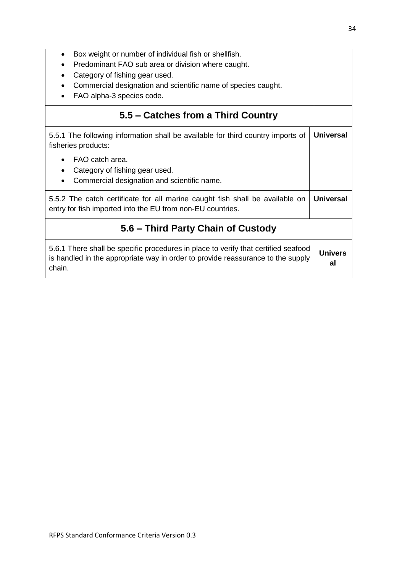| Box weight or number of individual fish or shellfish.<br>$\bullet$<br>Predominant FAO sub area or division where caught.<br>$\bullet$<br>Category of fishing gear used.<br>Commercial designation and scientific name of species caught.<br>FAO alpha-3 species code. |                  |  |
|-----------------------------------------------------------------------------------------------------------------------------------------------------------------------------------------------------------------------------------------------------------------------|------------------|--|
| 5.5 – Catches from a Third Country                                                                                                                                                                                                                                    |                  |  |
| 5.5.1 The following information shall be available for third country imports of<br>fisheries products:                                                                                                                                                                | <b>Universal</b> |  |
| FAO catch area.<br>Category of fishing gear used.<br>$\bullet$<br>Commercial designation and scientific name.<br>$\bullet$                                                                                                                                            |                  |  |
| 5.5.2 The catch certificate for all marine caught fish shall be available on<br>entry for fish imported into the EU from non-EU countries.                                                                                                                            |                  |  |
| 5.6 – Third Party Chain of Custody                                                                                                                                                                                                                                    |                  |  |
| 5.6.1 There shall be specific procedures in place to verify that certified seafood<br>is handled in the appropriate way in order to provide reassurance to the supply<br>chain.                                                                                       |                  |  |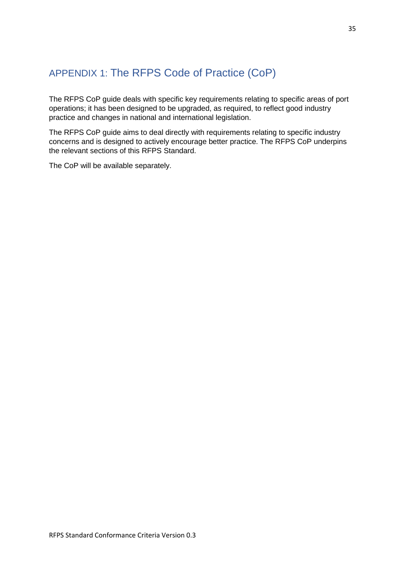# <span id="page-34-0"></span>APPENDIX 1: The RFPS Code of Practice (CoP)

The RFPS CoP guide deals with specific key requirements relating to specific areas of port operations; it has been designed to be upgraded, as required, to reflect good industry practice and changes in national and international legislation.

The RFPS CoP guide aims to deal directly with requirements relating to specific industry concerns and is designed to actively encourage better practice. The RFPS CoP underpins the relevant sections of this RFPS Standard.

The CoP will be available separately.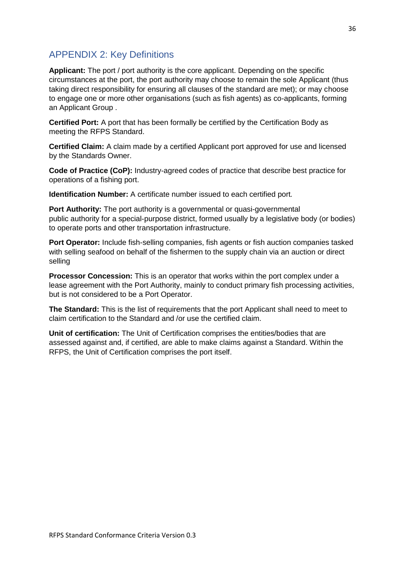### <span id="page-35-0"></span>APPENDIX 2: Key Definitions

Applicant: The port / port authority is the core applicant. Depending on the specific circumstances at the port, the port authority may choose to remain the sole Applicant (thus taking direct responsibility for ensuring all clauses of the standard are met); or may choose to engage one or more other organisations (such as fish agents) as co-applicants, forming an Applicant Group .

**Certified Port:** A port that has been formally be certified by the Certification Body as meeting the RFPS Standard.

**Certified Claim:** A claim made by a certified Applicant port approved for use and licensed by the Standards Owner.

**Code of Practice (CoP):** Industry-agreed codes of practice that describe best practice for operations of a fishing port.

**Identification Number:** A certificate number issued to each certified port*.*

**Port Authority:** The port authority is a governmental or quasi-governmental public authority for a special-purpose district, formed usually by a legislative body (or bodies) to operate ports and other transportation infrastructure.

**Port Operator:** Include fish-selling companies, fish agents or fish auction companies tasked with selling seafood on behalf of the fishermen to the supply chain via an auction or direct selling

**Processor Concession:** This is an operator that works within the port complex under a lease agreement with the Port Authority, mainly to conduct primary fish processing activities, but is not considered to be a Port Operator.

**The Standard:** This is the list of requirements that the port Applicant shall need to meet to claim certification to the Standard and /or use the certified claim.

**Unit of certification:** The Unit of Certification comprises the entities/bodies that are assessed against and, if certified, are able to make claims against a Standard. Within the RFPS, the Unit of Certification comprises the port itself.